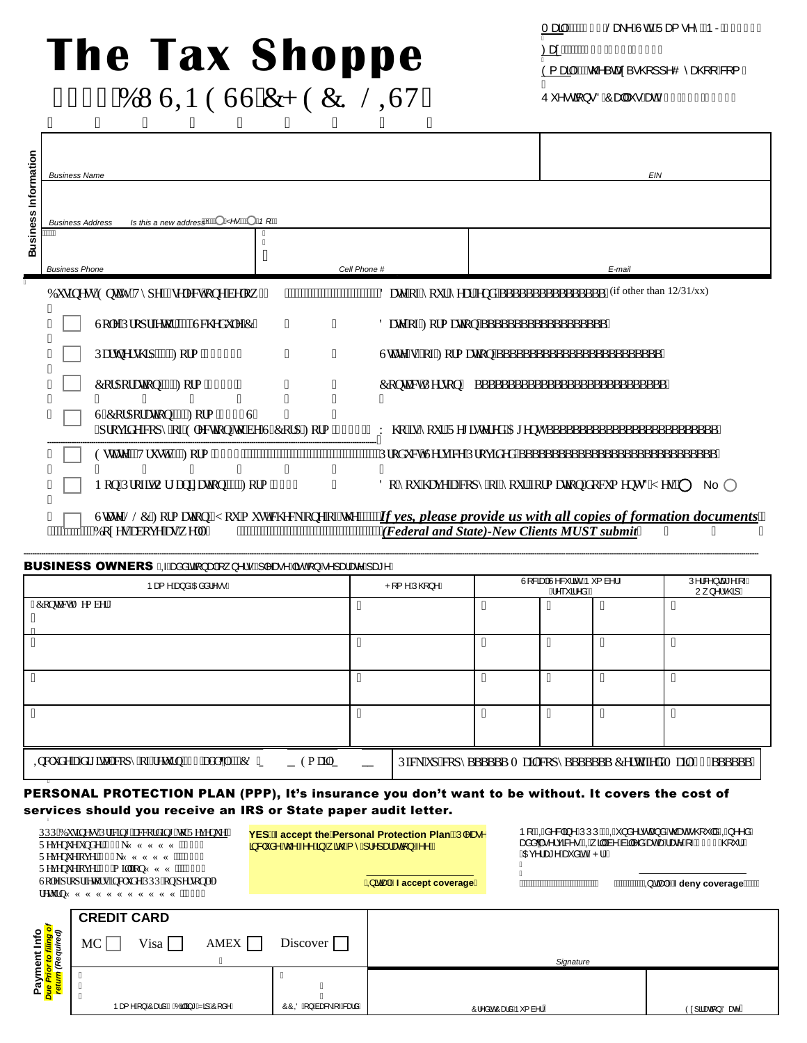## **The Tax Shoppe** 423: 'DWUR GUU'EJ GEMNKIV''

|  | $\overline{\phantom{a}}$ |  |  |                       |  |
|--|--------------------------|--|--|-----------------------|--|
|  |                          |  |  | n n n n n n n n n n n |  |
|  |                          |  |  |                       |  |

I

|                                                                                                                                                                                                                                                                                                                                                                                                                 | <b>Business Name</b>                                                                                                                                                                                       |                    |                                                                                                                           |                    |                                        | EIN                |                                                         |  |  |
|-----------------------------------------------------------------------------------------------------------------------------------------------------------------------------------------------------------------------------------------------------------------------------------------------------------------------------------------------------------------------------------------------------------------|------------------------------------------------------------------------------------------------------------------------------------------------------------------------------------------------------------|--------------------|---------------------------------------------------------------------------------------------------------------------------|--------------------|----------------------------------------|--------------------|---------------------------------------------------------|--|--|
| <b>Business Information</b>                                                                                                                                                                                                                                                                                                                                                                                     | Is this a new addres <b>ANO AM</b> . AN OND [ AM<br><b>Business Address</b>                                                                                                                                |                    |                                                                                                                           |                    |                                        |                    |                                                         |  |  |
|                                                                                                                                                                                                                                                                                                                                                                                                                 | <b>XXXXX</b><br>Á<br>Á<br><b>Business Phone</b>                                                                                                                                                            | Cell Phone #       |                                                                                                                           |                    |                                        | E-mail             |                                                         |  |  |
|                                                                                                                                                                                                                                                                                                                                                                                                                 | Dwukpguu'Gpvkv{ "V{r g<**ugrgev'qpg'dgrqy +"                                                                                                                                                               |                    | """""""""""""""""""""Fcy"qh"{qw"{gct"gpf ∢aaaaaaaaaaaaaaa"(if other than 12/31/xx)                                        |                    |                                        |                    |                                                         |  |  |
|                                                                                                                                                                                                                                                                                                                                                                                                                 | "<br>Uqng'Rtqr tkgvqt'"/""Uej gf wng'E"                                                                                                                                                                    | 11                 | F cw"qh'Hqto cwqp aaaaaaaaaaaaaaaaaa"                                                                                     |                    |                                        |                    |                                                         |  |  |
|                                                                                                                                                                                                                                                                                                                                                                                                                 | Rctypgtuj kr ""/""Hqto "3287""                                                                                                                                                                             |                    | Ucvg*u+"qh'Hqto cvkqp <aaaaaaaaaaaaaaaaaaaaaaaa"< th=""><th></th><th></th><th></th><th></th></aaaaaaaaaaaaaaaaaaaaaaaa"<> |                    |                                        |                    |                                                         |  |  |
|                                                                                                                                                                                                                                                                                                                                                                                                                 | Eqtrqtcwqp""/"Hqto "3342""<br>Eqpvev'Rgtuqp" aaaaaaaaaaaaaaaaaaaaaaaaaaaa"                                                                                                                                 |                    |                                                                                                                           |                    |                                        |                    |                                                         |  |  |
|                                                                                                                                                                                                                                                                                                                                                                                                                 | U'Eqtrqtcwqp""/"Hqto "3342U"<br>*tqxkfg"eqr{"qh'Grgevkqp"vq"dg"U/Eqtr "Hqto "4775+" [Y j q'ku"{qwt"Tgi kwgtgf "Ci gpvAaaaaaaaaaaaaaaaaaaaaaaaa                                                             |                    |                                                                                                                           |                    |                                        |                    |                                                         |  |  |
|                                                                                                                                                                                                                                                                                                                                                                                                                 |                                                                                                                                                                                                            |                    | "Rtqf vevIUgtxleg"Rtqxlf gf ∢aaaaaaaaaaaaaaaaaaaaaaaaaaaa"                                                                |                    |                                        |                    |                                                         |  |  |
|                                                                                                                                                                                                                                                                                                                                                                                                                 | P qp/RtqhkjQti cpk cvkqp""/"Hqto"; ; 2"<br>$F q''$ {qw'j cxg'c'eqr { "qh"{qwt'hqto cw qp"f qewo gpwA'[ gu'' $\bigcirc$<br>No                                                                               |                    |                                                                                                                           |                    |                                        |                    |                                                         |  |  |
|                                                                                                                                                                                                                                                                                                                                                                                                                 | "If yes, please provide us with all copies of formation documents()"<br>Ucvg"NNE 'Hqto cvkqp'*[ qw'o ww'ej gen'qpg'qh'y g'""<br>"""(Federal and State)-New Clients MUST submit"<br>""Dqzgu'cdqxg'cu'y gm+" |                    |                                                                                                                           |                    |                                        |                    |                                                         |  |  |
|                                                                                                                                                                                                                                                                                                                                                                                                                 | 3USINESS OWNERS Ģ4¥æååãథ } ఇ4∱ ృ ∆¦∙Bే∫ ∆æ ^Ájã o∯ } Á ^] ææ^Ájæ* ^D                                                                                                                                       |                    |                                                                                                                           |                    |                                        |                    |                                                         |  |  |
|                                                                                                                                                                                                                                                                                                                                                                                                                 | Þæ{^Áæ}åÁ0Eåå¦^••Á                                                                                                                                                                                         |                    | P[{^AUQ}^A                                                                                                                |                    | Ù Kamak Av & lac Áp (à^¦Á<br>C∧``ã^åDA |                    | $(V \mid 8)$ cas $\land$ $\land$ $\land$<br>U }^¦•@4] A |  |  |
|                                                                                                                                                                                                                                                                                                                                                                                                                 | , Eqpvcev'O go dgt"                                                                                                                                                                                        | $\pmb{\mathsf{H}}$ |                                                                                                                           | $\pmb{\mathsf{H}}$ | $^{\dagger}$                           | $^{\prime \prime}$ | $\pmb{\mathsf{H}}$                                      |  |  |
| $\pmb{\mathsf{H}}$                                                                                                                                                                                                                                                                                                                                                                                              |                                                                                                                                                                                                            | $\pmb{\mathsf{H}}$ |                                                                                                                           | $\pmb{\mathsf{H}}$ | 11                                     | $\pmb{\mathsf{H}}$ | $\pmb{\mathsf{H}}$                                      |  |  |
| $\pmb{\mathsf{H}}$                                                                                                                                                                                                                                                                                                                                                                                              |                                                                                                                                                                                                            | 11                 |                                                                                                                           | ,,                 | 11                                     | 11                 | $\pmb{\mathsf{H}}$                                      |  |  |
| $^{\prime\prime}$                                                                                                                                                                                                                                                                                                                                                                                               |                                                                                                                                                                                                            | $^{\prime\prime}$  |                                                                                                                           | $\pmb{\mathsf{H}}$ | 11                                     | $\pmb{\mathsf{H}}$ | $^{\prime\prime}$                                       |  |  |
|                                                                                                                                                                                                                                                                                                                                                                                                                 | Knowf g'c'f ki kon'eqr { "qh'tgwtp"*&7" cf f gn+""EF"<br>$\sim$ Go cki'<br>Rlem'w "eqr {aaaaaa O ckn'eqr {aaaaaaa Egt \khegf" O ckn*&8 +aaaaaa"                                                            |                    |                                                                                                                           |                    |                                        |                    |                                                         |  |  |
| PERSONAL PROTECTION PLAN (PPP), It's insurance you don't want to be without. It covers the cost of<br>ervices should you receive an IRS or State paper audit letter.                                                                                                                                                                                                                                            |                                                                                                                                                                                                            |                    |                                                                                                                           |                    |                                        |                    |                                                         |  |  |
| Þ[BEQQLa^&la}^ÁÚÚÚBEÁQÓK}å^¦∙œa}åÁc@eneÁ∙@[* åÁQÓA}^^åÁ<br>RRR'Dwukpguu'Rtlekpi "ceeqtf kpi "vq'T gxgpwg-<br>YES.4 accept the Personal Protection Plane Va<br>æåådµÁ∧¦çã&∧∙ÉÃQÁ,ã  Áà∧Áàã  ∧åÁæóÁæóÁ,æ∆Á,r—ÑÁFÏÍEQ?`¦ÉÁ.<br>Tgxgpwg"wpf gt"722mí í í í í ""&5;"<br>ã & l'å^Ác@ÁA^ÁãÁão@Ái^Á¦^]ælæaã}ÁA^ÈÁ<br>QQE∧¦æ*∧&ečåãn⊞−P¦DA<br>Tgxgpwg"qxgt"722mí í í í í 00086; "<br>Tgxgpwg"qxgt"&5"o knkqpí í í @"&97" |                                                                                                                                                                                                            |                    |                                                                                                                           |                    |                                        |                    |                                                         |  |  |
|                                                                                                                                                                                                                                                                                                                                                                                                                 | Uqng'r tqr tkgyqtu'lipenwf g'RRR'qp'r gtuqpcn'<br>tgwtpi í í í í í í í í í í "&5;"                                                                                                                         |                    | A azza El accept coverage"                                                                                                |                    |                                        |                    | """"""""""Qããeó∰A deny coverage∭AWA                     |  |  |
|                                                                                                                                                                                                                                                                                                                                                                                                                 | <b>CREDIT CARD</b><br>Info<br><mark>Ting of</mark><br>uired)<br>Discover<br>AMEX<br>MC<br>Visa                                                                                                             |                    |                                                                                                                           |                    |                                        |                    |                                                         |  |  |

| Þæ{^Áæ}åÁ0Eåå¦^••Á | P[{ ^ÁÚ@} ^Á      |  | Ù[&ãænAÙ^&`¦ãĉÁÞ`{à^¦Á<br>C <sup>A</sup> a <sup>A</sup> åDÁ |                   |                   | $(V 8^x)$ cas $\wedge$ Å $\wedge$<br>$U, \}$ <sup><math>\sim</math></sup> $\oplus$ $A$ |  |
|--------------------|-------------------|--|-------------------------------------------------------------|-------------------|-------------------|----------------------------------------------------------------------------------------|--|
| , EqpvevO go dgt"  | $^{\prime\prime}$ |  | $^{\prime\prime}$                                           |                   | $^{\prime\prime}$ |                                                                                        |  |
| $^{\prime\prime}$  | .,                |  | $^{\prime\prime}$                                           | $^{\prime\prime}$ | $^{\prime\prime}$ | $^{\prime\prime}$                                                                      |  |
| $^{\prime\prime}$  | $^{\prime\prime}$ |  | $^{\prime\prime}$                                           | $^{\prime\prime}$ | $^{\prime\prime}$ | $^{\prime\prime}$                                                                      |  |
| $^{\prime\prime}$  | $^{\prime\prime}$ |  | $^{\prime\prime}$                                           | $^{\prime\prime}$ | $^{\prime\prime}$ | $^{\prime}$                                                                            |  |

### PERSONAL PROTECTION PLAN (PPP), It's insurance you don't want to be without. It covers the cost of services should you receive an IRS or State paper audit letter.

|                                                                          | RRR'Dwukpguu'Rtlekpi "ceeqtf kpi "vq'Tgxgpwg-"<br>Tgxgpwg"wpf gt"722mí í í í í ""&5;"<br>Tgxgpwg"qxgt'722mí í í í í 00086;" | <b>3 &amp; a^ho @ A^^kg A aoo 4 ^A :^ ] asama } A^^ BA</b> | YES.44 accept the Personal Protection Plant $\mathbb{H} \rightarrow \infty$ | Þ[BÓ QÁ à ^ & LA 20 Ú V DE A CA } å ^ ¦ • ca } å Á co en 4 o º jå Á QA } ^ ^ å Á<br>æåådµÁ^¦çã&^●ĚÁQÁ āļlÁà^Áàã  ^åÁææÁæÁæe^Á, ÁÁFÏÍ EQQ *¦ÈÁ<br>CDE^ a a ^ Á e à a di FP DA |                            |  |  |
|--------------------------------------------------------------------------|-----------------------------------------------------------------------------------------------------------------------------|------------------------------------------------------------|-----------------------------------------------------------------------------|------------------------------------------------------------------------------------------------------------------------------------------------------------------------------|----------------------------|--|--|
|                                                                          | T gxgpwg"qxgt"&5"o knkqpí í í 00"&97"<br>Uqrg'r tqr tlgvqtu'lperwf g'RRR'qp'r gtuqpcn'                                      |                                                            |                                                                             |                                                                                                                                                                              |                            |  |  |
|                                                                          | tgwtpi i i i i i i i i i i $\mathbb{S}$ ."                                                                                  |                                                            | <b>AQ ään! El accept coverage"</b>                                          |                                                                                                                                                                              | "ℚããao)∰ deny coverage∭ WA |  |  |
|                                                                          | <b>CREDIT CARD</b>                                                                                                          |                                                            |                                                                             |                                                                                                                                                                              |                            |  |  |
|                                                                          | МC<br>Visa  <br><b>AMEX</b>                                                                                                 | Discover I                                                 |                                                                             |                                                                                                                                                                              |                            |  |  |
|                                                                          |                                                                                                                             | Signature                                                  |                                                                             |                                                                                                                                                                              |                            |  |  |
| Payment Info<br><mark>Due Prior to filing of</mark><br>return (Required) |                                                                                                                             |                                                            |                                                                             |                                                                                                                                                                              |                            |  |  |
|                                                                          | Þæ(^Á) ÁÔælåÁBÁÓa] a}*ÁZa] ÁÔ [å^Á                                                                                          | ÔÔ @ A } Asa& A - Asasa "                                  |                                                                             | Ôl^åãóÔælåÁP (à^ "                                                                                                                                                           | Ò¢]ãæaā} ÄÖæe^"            |  |  |